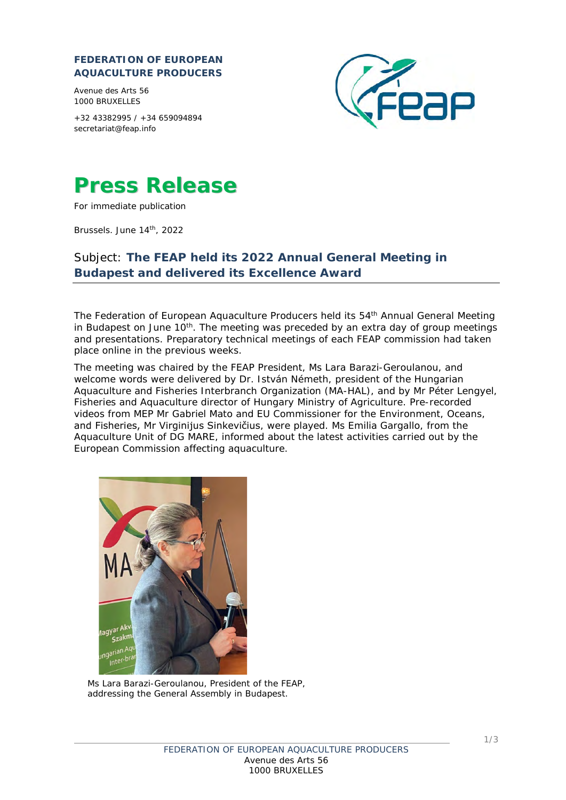## **FEDERATION OF EUROPEAN AQUACULTURE PRODUCERS**

Avenue des Arts 56 1000 BRUXELLES

+32 43382995 / +34 659094894 [secretariat@feap.info](mailto:secretariat@feap.info)





For immediate publication

Brussels. June 14th, 2022

## Subject: **The FEAP held its 2022 Annual General Meeting in Budapest and delivered its Excellence Award**

The Federation of European Aquaculture Producers held its 54<sup>th</sup> Annual General Meeting in Budapest on June  $10<sup>th</sup>$ . The meeting was preceded by an extra day of group meetings and presentations. Preparatory technical meetings of each FEAP commission had taken place online in the previous weeks.

The meeting was chaired by the FEAP President, Ms Lara Barazi-Geroulanou, and welcome words were delivered by Dr. István Németh, president of the Hungarian Aquaculture and Fisheries Interbranch Organization (MA-HAL), and by Mr Péter Lengyel, Fisheries and Aquaculture director of Hungary Ministry of Agriculture. Pre-recorded videos from MEP Mr Gabriel Mato and EU Commissioner for the Environment, Oceans, and Fisheries, Mr Virginijus Sinkevičius, were played. Ms Emilia Gargallo, from the Aquaculture Unit of DG MARE, informed about the latest activities carried out by the European Commission affecting aquaculture.



*Ms Lara Barazi-Geroulanou, President of the FEAP, addressing the General Assembly in Budapest.*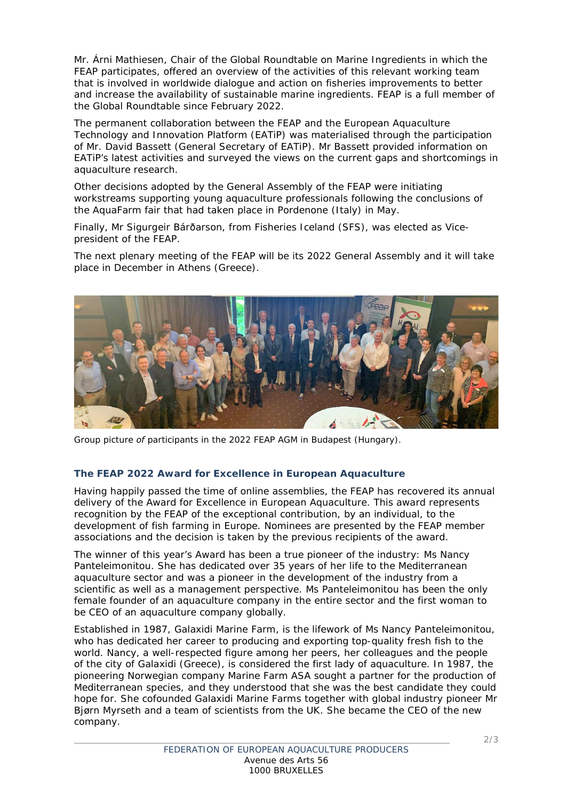Mr. Árni Mathiesen, Chair of the Global Roundtable on Marine Ingredients in which the FEAP participates, offered an overview of the activities of this relevant working team that is involved in worldwide dialogue and action on fisheries improvements to better and increase the availability of sustainable marine ingredients. FEAP is a full member of the Global Roundtable since February 2022.

The permanent collaboration between the FEAP and the European Aquaculture Technology and Innovation Platform (EATiP) was materialised through the participation of Mr. David Bassett (General Secretary of EATiP). Mr Bassett provided information on EATiP's latest activities and surveyed the views on the current gaps and shortcomings in aquaculture research.

Other decisions adopted by the General Assembly of the FEAP were initiating workstreams supporting young aquaculture professionals following the conclusions of the AquaFarm fair that had taken place in Pordenone (Italy) in May.

Finally, Mr Sigurgeir Bárðarson, from Fisheries Iceland (SFS), was elected as Vicepresident of the FEAP.

The next plenary meeting of the FEAP will be its 2022 General Assembly and it will take place in December in Athens (Greece).



*Group picture of participants in the 2022 FEAP AGM in Budapest (Hungary).* 

## **The FEAP 2022 Award for Excellence in European Aquaculture**

Having happily passed the time of online assemblies, the FEAP has recovered its annual delivery of the Award for Excellence in European Aquaculture. This award represents recognition by the FEAP of the exceptional contribution, by an individual, to the development of fish farming in Europe. Nominees are presented by the FEAP member associations and the decision is taken by the previous recipients of the award.

The winner of this year's Award has been a true pioneer of the industry: Ms Nancy Panteleimonitou. She has dedicated over 35 years of her life to the Mediterranean aquaculture sector and was a pioneer in the development of the industry from a scientific as well as a management perspective. Ms Panteleimonitou has been the only female founder of an aquaculture company in the entire sector and the first woman to be CEO of an aquaculture company globally.

Established in 1987, Galaxidi Marine Farm, is the lifework of Ms Nancy Panteleimonitou, who has dedicated her career to producing and exporting top-quality fresh fish to the world. Nancy, a well-respected figure among her peers, her colleagues and the people of the city of Galaxidi (Greece), is considered the first lady of aquaculture. In 1987, the pioneering Norwegian company Marine Farm ASA sought a partner for the production of Mediterranean species, and they understood that she was the best candidate they could hope for. She cofounded Galaxidi Marine Farms together with global industry pioneer Mr Bjørn Myrseth and a team of scientists from the UK. She became the CEO of the new company.